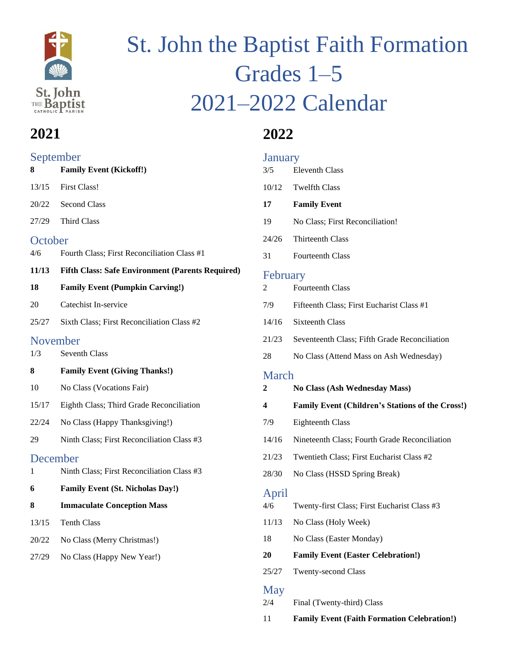

# St. John the Baptist Faith Formation Grades 1–5 2021–2022 Calendar

# **2021**

#### September

| 8        | <b>Family Event (Kickoff!)</b>                          |
|----------|---------------------------------------------------------|
| 13/15    | <b>First Class!</b>                                     |
| 20/22    | <b>Second Class</b>                                     |
| 27/29    | <b>Third Class</b>                                      |
| October  |                                                         |
| 4/6      | Fourth Class; First Reconciliation Class #1             |
| 11/13    | <b>Fifth Class: Safe Environment (Parents Required)</b> |
| 18       | <b>Family Event (Pumpkin Carving!)</b>                  |
| 20       | Catechist In-service                                    |
| 25/27    | Sixth Class; First Reconciliation Class #2              |
| November |                                                         |
| 1/3      | <b>Seventh Class</b>                                    |
| 8        | <b>Family Event (Giving Thanks!)</b>                    |
| 10       | No Class (Vocations Fair)                               |
| 15/17    | Eighth Class; Third Grade Reconciliation                |
| 22/24    | No Class (Happy Thanksgiving!)                          |
| 29       | Ninth Class; First Reconciliation Class #3              |
| December |                                                         |
| 1        | Ninth Class; First Reconciliation Class #3              |
| 6        | <b>Family Event (St. Nicholas Day!)</b>                 |
| 8        | <b>Immaculate Conception Mass</b>                       |
| 13/15    | <b>Tenth Class</b>                                      |
| 20/22    | No Class (Merry Christmas!)                             |
| 27/29    | No Class (Happy New Year!)                              |
|          |                                                         |

# **2022**

| <b>January</b> |                                                         |  |
|----------------|---------------------------------------------------------|--|
| 3/5            | <b>Eleventh Class</b>                                   |  |
|                | 10/12 Twelfth Class                                     |  |
| 17             | <b>Family Event</b>                                     |  |
| 19             | No Class; First Reconciliation!                         |  |
| 24/26          | Thirteenth Class                                        |  |
| 31             | <b>Fourteenth Class</b>                                 |  |
| February       |                                                         |  |
| 2              | <b>Fourteenth Class</b>                                 |  |
| 7/9            | Fifteenth Class; First Eucharist Class #1               |  |
| 14/16          | Sixteenth Class                                         |  |
| 21/23          | Seventeenth Class; Fifth Grade Reconciliation           |  |
| 28             | No Class (Attend Mass on Ash Wednesday)                 |  |
| <b>March</b>   |                                                         |  |
| 2              | No Class (Ash Wednesday Mass)                           |  |
| 4              | <b>Family Event (Children's Stations of the Cross!)</b> |  |
|                |                                                         |  |
| 7/9            | <b>Eighteenth Class</b>                                 |  |
| 14/16          | Nineteenth Class; Fourth Grade Reconciliation           |  |
| 21/23          | Twentieth Class; First Eucharist Class #2               |  |
| 28/30          | No Class (HSSD Spring Break)                            |  |
| April          |                                                         |  |
| 4/6            | Twenty-first Class; First Eucharist Class #3            |  |
| 11/13          | No Class (Holy Week)                                    |  |
| 18             | No Class (Easter Monday)                                |  |
| 20             | <b>Family Event (Easter Celebration!)</b>               |  |
| 25/27          | Twenty-second Class                                     |  |

#### May

2/4 Final (Twenty-third) Class

11 **Family Event (Faith Formation Celebration!)**